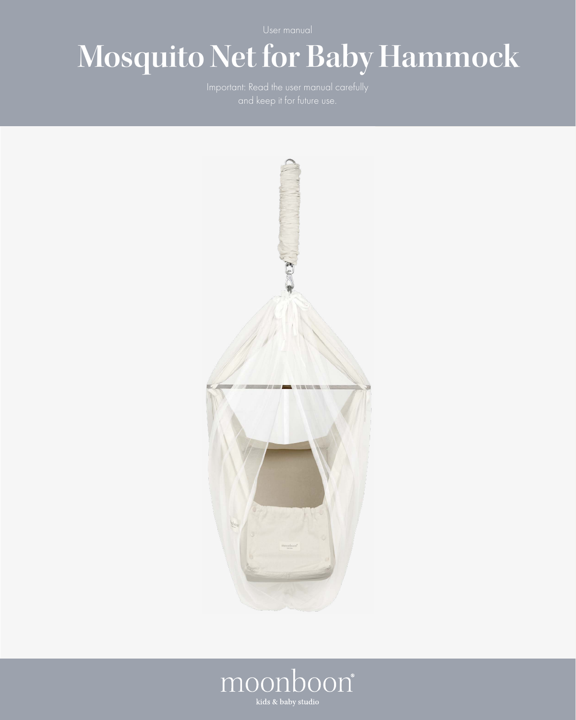# **Mosquito Net for Baby Hammock**



# moonboon®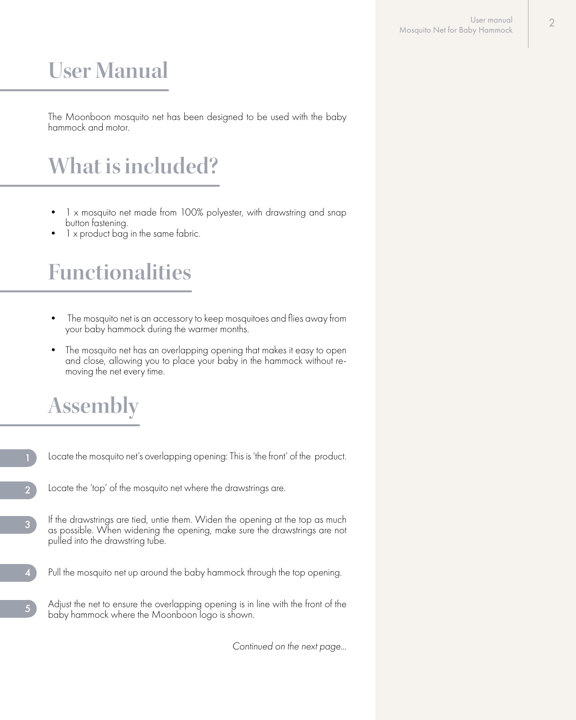## **User Manual**

The Moonboon mosquito net has been designed to be used with the baby hammock and motor.

# **What is included?**

- 1 x mosquito net made from 100% polyester, with drawstring and snap button fastening.
- 1 x product bag in the same fabric.

#### **Functionalities**

- The mosquito net is an accessory to keep mosquitoes and flies away from your baby hammock during the warmer months.
- The mosquito net has an overlapping opening that makes it easy to open and close, allowing you to place your baby in the hammock without re- moving the net every time.

## **Assembly**

- Locate the mosquito net's overlapping opening: This is 'the front' of the product.
- Locate the 'top' of the mosquito net where the drawstrings are. 2
- If the drawstrings are tied, untie them. Widen the opening at the top as much as possible. When widening the opening, make sure the drawstrings are not pulled into the drawstring tube. 3
- Pull the mosquito net up around the baby hammock through the top opening.
- Adjust the net to ensure the overlapping opening is in line with the front of the baby hammock where the Moonboon logo is shown. 5

*Continued on the next page...*